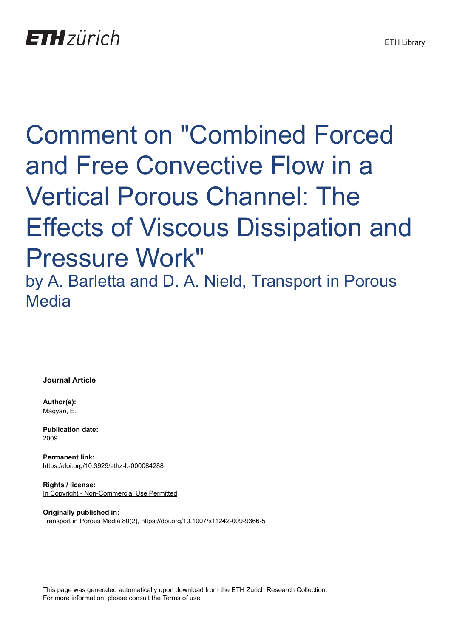## Comment on "Combined Forced and Free Convective Flow in a Vertical Porous Channel: The Effects of Viscous Dissipation and Pressure Work" by A. Barletta and D. A. Nield, Transport in Porous **Media**

**Journal Article**

**Author(s):** Magyari, E.

**Publication date:** 2009

**Permanent link:** <https://doi.org/10.3929/ethz-b-000084288>

**Rights / license:** [In Copyright - Non-Commercial Use Permitted](http://rightsstatements.org/page/InC-NC/1.0/)

**Originally published in:** Transport in Porous Media 80(2),<https://doi.org/10.1007/s11242-009-9366-5>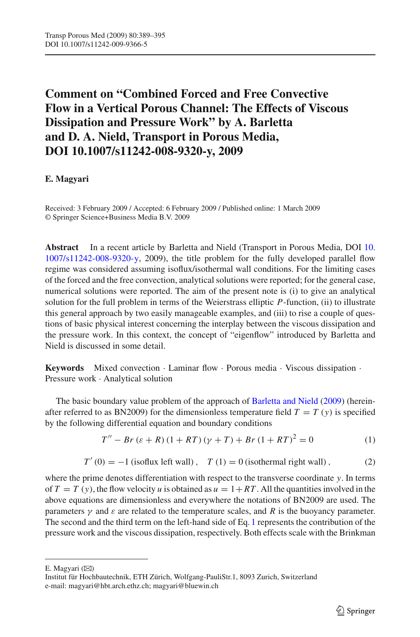## **Comment on "Combined Forced and Free Convective Flow in a Vertical Porous Channel: The Effects of Viscous Dissipation and Pressure Work" by A. Barletta and D. A. Nield, Transport in Porous Media, DOI 10.1007/s11242-008-9320-y, 2009**

## **E. Magyari**

Received: 3 February 2009 / Accepted: 6 February 2009 / Published online: 1 March 2009 © Springer Science+Business Media B.V. 2009

**Abstract** In a recent article by Barletta and Nield (Transport in Porous Media, DOI [10.](http://dx.doi.org/10.1007/s11242-008-9320-y) [1007/s11242-008-9320-y,](http://dx.doi.org/10.1007/s11242-008-9320-y) 2009), the title problem for the fully developed parallel flow regime was considered assuming isoflux/isothermal wall conditions. For the limiting cases of the forced and the free convection, analytical solutions were reported; for the general case, numerical solutions were reported. The aim of the present note is (i) to give an analytical solution for the full problem in terms of the Weierstrass elliptic *P*-function, (ii) to illustrate this general approach by two easily manageable examples, and (iii) to rise a couple of questions of basic physical interest concerning the interplay between the viscous dissipation and the pressure work. In this context, the concept of "eigenflow" introduced by Barletta and Nield is discussed in some detail.

**Keywords** Mixed convection · Laminar flow · Porous media · Viscous dissipation · Pressure work · Analytical solution

<span id="page-1-0"></span>The basic boundary value problem of the approach of [Barletta and Nield](#page-7-0) [\(2009\)](#page-7-0) (hereinafter referred to as BN2009) for the dimensionless temperature field  $T = T(y)$  is specified by the following differential equation and boundary conditions

$$
T'' - Br(\varepsilon + R) (1 + RT) (\gamma + T) + Br (1 + RT)^{2} = 0
$$
 (1)

$$
T'(0) = -1
$$
 (isoflux left wall),  $T(1) = 0$  (isothermal right wall), (2)

<span id="page-1-1"></span>where the prime denotes differentiation with respect to the transverse coordinate *y*. In terms of  $T = T(y)$ , the flow velocity *u* is obtained as  $u = 1 + RT$ . All the quantities involved in the above equations are dimensionless and everywhere the notations of BN2009 are used. The parameters  $\gamma$  and  $\varepsilon$  are related to the temperature scales, and R is the buoyancy parameter. The second and the third term on the left-hand side of Eq. [1](#page-1-0) represents the contribution of the pressure work and the viscous dissipation, respectively. Both effects scale with the Brinkman

E. Magyari  $(\boxtimes)$ 

Institut für Hochbautechnik, ETH Zürich, Wolfgang-PauliStr.1, 8093 Zurich, Switzerland e-mail: magyari@hbt.arch.ethz.ch; magyari@bluewin.ch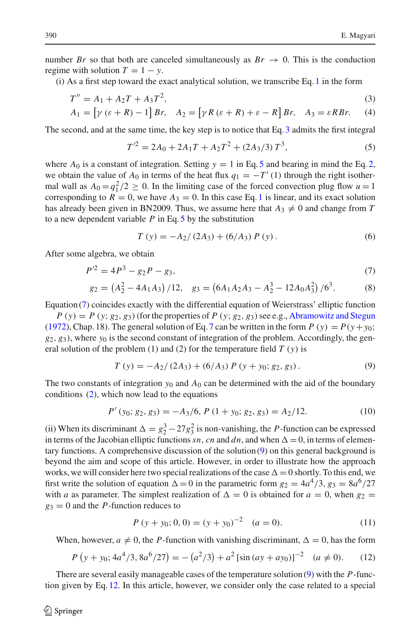number *Br* so that both are canceled simultaneously as  $Br \rightarrow 0$ . This is the conduction regime with solution  $T = 1 - y$ .

(i) As a first step toward the exact analytical solution, we transcribe Eq. [1](#page-1-0) in the form

$$
T'' = A_1 + A_2T + A_3T^2,
$$
  
\n
$$
A_1 = \left[ \gamma (\varepsilon + R) - 1 \right] Br, \quad A_2 = \left[ \gamma R (\varepsilon + R) + \varepsilon - R \right] Br, \quad A_3 = \varepsilon RBr.
$$
\n(3)

<span id="page-2-1"></span><span id="page-2-0"></span>The second, and at the same time, the key step is to notice that Eq. [3](#page-2-0) admits the first integral

$$
T'^{2} = 2A_{0} + 2A_{1}T + A_{2}T^{2} + (2A_{3}/3)T^{3},
$$
\n(5)

where  $A_0$  is a constant of integration. Setting  $y = 1$  in Eq. [5](#page-2-1) and bearing in mind the Eq. [2,](#page-1-1) we obtain the value of  $A_0$  in terms of the heat flux  $q_1 = -T'(1)$  through the right isothermal wall as  $A_0 = q_1^2/2 \ge 0$ . In the limiting case of the forced convection plug flow  $u = 1$ corresponding to  $R = 0$ , we have  $A_3 = 0$ . In this case Eq. [1](#page-1-0) is linear, and its exact solution has already been given in BN2009. Thus, we assume here that  $A_3 \neq 0$  and change from *T* to a new dependent variable *P* in Eq. [5](#page-2-1) by the substitution

$$
T(y) = -A_2/(2A_3) + (6/A_3) P(y).
$$
 (6)

<span id="page-2-2"></span>After some algebra, we obtain

$$
P^2 = 4P^3 - g_2P - g_3,\tag{7}
$$

$$
g_2 = \left(A_2^2 - 4A_1A_3\right)/12, \quad g_3 = \left(6A_1A_2A_3 - A_2^3 - 12A_0A_3^2\right)/6^3. \tag{8}
$$

Equation [\(7\)](#page-2-2) coincides exactly with the differential equation of Weierstrass' elliptic function

 $P(y) = P(y; g_2, g_3)$  (for the properties of *P* (*y*; *g*<sub>2</sub>, *g*<sub>3</sub>) see e.g., [Abramowitz and Stegun](#page-7-1) [\(1972](#page-7-1)), Chap. 18). The general solution of Eq. [7](#page-2-2) can be written in the form  $P(y) = P(y + y_0;$  $g_2, g_3$ ), where  $y_0$  is the second constant of integration of the problem. Accordingly, the general solution of the problem (1) and (2) for the temperature field  $T(y)$  is

$$
T(y) = -A_2/(2A_3) + (6/A_3) P (y + y_0; g_2, g_3).
$$
 (9)

<span id="page-2-3"></span>The two constants of integration  $y_0$  and  $A_0$  can be determined with the aid of the boundary conditions [\(2\)](#page-1-1), which now lead to the equations

$$
P'(y_0; g_2, g_3) = -A_3/6, P(1 + y_0; g_2, g_3) = A_2/12.
$$
 (10)

(ii) When its discriminant  $\Delta = g_2^3 - 27g_3^2$  is non-vanishing, the *P*-function can be expressed in terms of the Jacobian elliptic functions sn, cn and dn, and when  $\Delta = 0$ , in terms of elementary functions. A comprehensive discussion of the solution [\(9\)](#page-2-3) on this general background is beyond the aim and scope of this article. However, in order to illustrate how the approach works, we will consider here two special realizations of the case  $\Delta = 0$  shortly. To this end, we first write the solution of equation  $\Delta = 0$  in the parametric form  $g_2 = 4a^4/3$ ,  $g_3 = 8a^6/27$ with *a* as parameter. The simplest realization of  $\Delta = 0$  is obtained for  $a = 0$ , when  $g_2 =$  $g_3 = 0$  and the *P*-function reduces to

$$
P(y + y_0; 0, 0) = (y + y_0)^{-2} \quad (a = 0).
$$
 (11)

<span id="page-2-5"></span>When, however,  $a \neq 0$ , the *P*-function with vanishing discriminant,  $\Delta = 0$ , has the form

$$
P(y + y_0; 4a^4/3, 8a^6/27) = -(a^2/3) + a^2 \left[ \sin\left( ay + ay_0 \right) \right]^{-2} \quad (a \neq 0). \tag{12}
$$

<span id="page-2-4"></span>There are several easily manageable cases of the temperature solution [\(9\)](#page-2-3) with the *P*-function given by Eq. [12.](#page-2-4) In this article, however, we consider only the case related to a special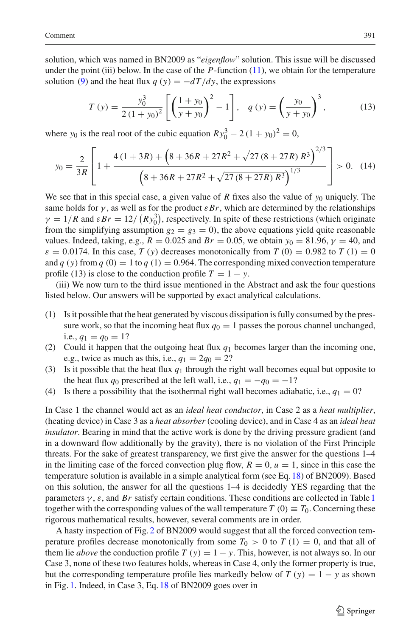solution, which was named in BN2009 as "*eigenflow*" solution. This issue will be discussed under the point (iii) below. In the case of the  $P$ -function  $(11)$ , we obtain for the temperature solution [\(9\)](#page-2-3) and the heat flux  $q(y) = -dT/dy$ , the expressions

$$
T(y) = \frac{y_0^3}{2(1+y_0)^2} \left[ \left( \frac{1+y_0}{y+y_0} \right)^2 - 1 \right], \quad q(y) = \left( \frac{y_0}{y+y_0} \right)^3, \tag{13}
$$

where *y*<sub>0</sub> is the real root of the cubic equation  $R y_0^3 - 2 (1 + y_0)^2 = 0$ ,

$$
y_0 = \frac{2}{3R} \left[ 1 + \frac{4(1+3R) + (8+36R+27R^2 + \sqrt{27(8+27R)R^3})^{2/3}}{(8+36R+27R^2 + \sqrt{27(8+27R)R^3})^{1/3}} \right] > 0. \tag{14}
$$

We see that in this special case, a given value of *R* fixes also the value of  $y_0$  uniquely. The same holds for  $\gamma$ , as well as for the product  $\varepsilon Br$ , which are determined by the relationships  $\gamma = 1/R$  and  $\varepsilon Br = 12/(R y_0^3)$ , respectively. In spite of these restrictions (which originate from the simplifying assumption  $g_2 = g_3 = 0$ ), the above equations yield quite reasonable values. Indeed, taking, e.g.,  $R = 0.025$  and  $Br = 0.05$ , we obtain  $y_0 = 81.96$ ,  $\gamma = 40$ , and  $\varepsilon = 0.0174$ . In this case, *T* (*y*) decreases monotonically from *T* (0) = 0.982 to *T* (1) = 0 and *q* (*y*) from *q* (0) = 1 to *q* (1) = 0.964. The corresponding mixed convection temperature profile (13) is close to the conduction profile  $T = 1 - y$ .

(iii) We now turn to the third issue mentioned in the Abstract and ask the four questions listed below. Our answers will be supported by exact analytical calculations.

- (1) Is it possible that the heat generated by viscous dissipation is fully consumed by the pressure work, so that the incoming heat flux  $q_0 = 1$  passes the porous channel unchanged, i.e.,  $q_1 = q_0 = 1$ ?
- (2) Could it happen that the outgoing heat flux *q*<sup>1</sup> becomes larger than the incoming one, e.g., twice as much as this, i.e.,  $q_1 = 2q_0 = 2$ ?
- (3) Is it possible that the heat flux  $q_1$  through the right wall becomes equal but opposite to the heat flux  $q_0$  prescribed at the left wall, i.e.,  $q_1 = -q_0 = -1$ ?
- (4) Is there a possibility that the isothermal right wall becomes adiabatic, i.e.,  $q_1 = 0$ ?

In Case 1 the channel would act as an *ideal heat conductor*, in Case 2 as a *heat multiplier*, (heating device) in Case 3 as a *heat absorber* (cooling device), and in Case 4 as an *ideal heat insulator*. Bearing in mind that the active work is done by the driving pressure gradient (and in a downward flow additionally by the gravity), there is no violation of the First Principle threats. For the sake of greatest transparency, we first give the answer for the questions 1–4 in the limiting case of the forced convection plug flow,  $R = 0$ ,  $u = 1$ , since in this case the temperature solution is available in a simple analytical form (see Eq. [18\)](#page-6-0) of BN2009). Based on this solution, the answer for all the questions 1–4 is decidedly YES regarding that the parameters  $\gamma$ ,  $\varepsilon$ , and *Br* satisfy certain conditions. These conditions are collected in Table [1](#page-4-0) together with the corresponding values of the wall temperature *T* (0)  $\equiv T_0$ . Concerning these rigorous mathematical results, however, several comments are in order.

A hasty inspection of Fig. [2](#page-4-1) of BN2009 would suggest that all the forced convection temperature profiles decrease monotonically from some  $T_0 > 0$  to  $T(1) = 0$ , and that all of them lie *above* the conduction profile  $T(y) = 1 - y$ . This, however, is not always so. In our Case 3, none of these two features holds, whereas in Case 4, only the former property is true, but the corresponding temperature profile lies markedly below of  $T(y) = 1 - y$  as shown in Fig. [1.](#page-4-2) Indeed, in Case 3, Eq. [18](#page-6-0) of BN2009 goes over in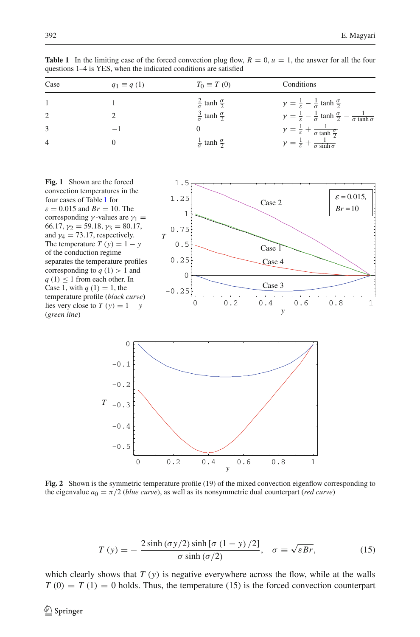<span id="page-4-0"></span>

| Case           | $q_1 \equiv q(1)$ | $T_0 \equiv T(0)$                      | Conditions                                                                                                 |
|----------------|-------------------|----------------------------------------|------------------------------------------------------------------------------------------------------------|
|                |                   | $rac{2}{\sigma}$ tanh $rac{\sigma}{2}$ | $\gamma = \frac{1}{\epsilon} - \frac{1}{\sigma} \tanh \frac{\sigma}{2}$                                    |
| $\overline{2}$ |                   | $rac{3}{\sigma}$ tanh $rac{\sigma}{2}$ | $\gamma = \frac{1}{\varepsilon} - \frac{1}{\sigma} \tanh \frac{\sigma}{2} - \frac{1}{\sigma \tanh \sigma}$ |
| 3              | $-1$              |                                        | $\gamma = \frac{1}{\varepsilon} + \frac{1}{\sigma \tanh \frac{\sigma}{2}}$                                 |
| $\overline{4}$ |                   | $rac{1}{\sigma}$ tanh $rac{\sigma}{2}$ | $\gamma = \frac{1}{\varepsilon} + \frac{1}{\sigma \sinh \sigma}$                                           |

**Table 1** In the limiting case of the forced convection plug flow,  $R = 0$ ,  $u = 1$ , the answer for all the four questions 1–4 is YES, when the indicated conditions are satisfied

<span id="page-4-2"></span>



<span id="page-4-1"></span>**Fig. 2** Shown is the symmetric temperature profile (19) of the mixed convection eigenflow corresponding to the eigenvalue  $a_0 = \pi/2$  (*blue curve*), as well as its nonsymmetric dual counterpart (*red curve*)

$$
T(y) = -\frac{2\sinh(\sigma y/2)\sinh[\sigma (1 - y)/2]}{\sigma \sinh(\sigma/2)}, \quad \sigma \equiv \sqrt{\varepsilon Br},
$$
 (15)

<span id="page-4-3"></span>which clearly shows that *T* (*y*) is negative everywhere across the flow, while at the walls  $T(0) = T(1) = 0$  holds. Thus, the temperature (15) is the forced convection counterpart

 $\circled{2}$  Springer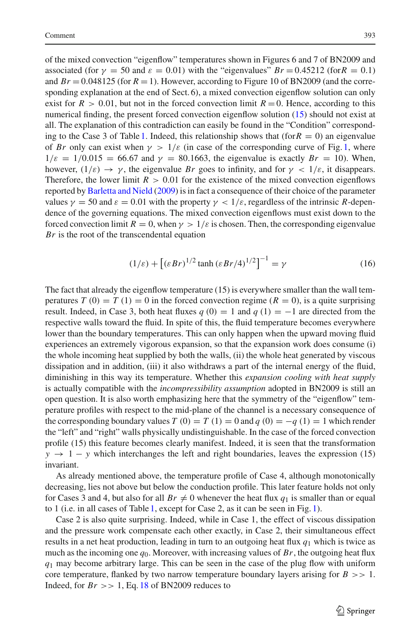of the mixed convection "eigenflow" temperatures shown in Figures 6 and 7 of BN2009 and associated (for  $\gamma = 50$  and  $\varepsilon = 0.01$ ) with the "eigenvalues"  $Br = 0.45212$  (for  $R = 0.1$ ) and  $Br = 0.048125$  (for  $R = 1$ ). However, according to Figure 10 of BN2009 (and the corresponding explanation at the end of Sect. 6), a mixed convection eigenflow solution can only exist for  $R > 0.01$ , but not in the forced convection limit  $R = 0$ . Hence, according to this numerical finding, the present forced convection eigenflow solution [\(15\)](#page-4-3) should not exist at all. The explanation of this contradiction can easily be found in the "Condition" correspond-ing to the Case 3 of Table [1.](#page-4-0) Indeed, this relationship shows that (for  $R = 0$ ) an eigenvalue of *Br* only can exist when  $\gamma > 1/\varepsilon$  (in case of the corresponding curve of Fig. [1,](#page-4-2) where  $1/\varepsilon = 1/0.015 = 66.67$  and  $\gamma = 80.1663$ , the eigenvalue is exactly  $Br = 10$ ). When, however,  $(1/\varepsilon) \to \gamma$ , the eigenvalue *Br* goes to infinity, and for  $\gamma < 1/\varepsilon$ , it disappears. Therefore, the lower limit  $R > 0.01$  for the existence of the mixed convection eigenflows reported by [Barletta and Nield](#page-7-0) [\(2009\)](#page-7-0) is in fact a consequence of their choice of the parameter values  $\gamma = 50$  and  $\varepsilon = 0.01$  with the property  $\gamma < 1/\varepsilon$ , regardless of the intrinsic *R*-dependence of the governing equations. The mixed convection eigenflows must exist down to the forced convection limit  $R = 0$ , when  $\gamma > 1/\varepsilon$  is chosen. Then, the corresponding eigenvalue *Br* is the root of the transcendental equation

$$
(1/\varepsilon) + \left[ (\varepsilon Br)^{1/2} \tanh \left( \varepsilon Br / 4 \right)^{1/2} \right]^{-1} = \gamma \tag{16}
$$

The fact that already the eigenflow temperature (15) is everywhere smaller than the wall temperatures  $T(0) = T(1) = 0$  in the forced convection regime  $(R = 0)$ , is a quite surprising result. Indeed, in Case 3, both heat fluxes  $q(0) = 1$  and  $q(1) = -1$  are directed from the respective walls toward the fluid. In spite of this, the fluid temperature becomes everywhere lower than the boundary temperatures. This can only happen when the upward moving fluid experiences an extremely vigorous expansion, so that the expansion work does consume (i) the whole incoming heat supplied by both the walls, (ii) the whole heat generated by viscous dissipation and in addition, (iii) it also withdraws a part of the internal energy of the fluid, diminishing in this way its temperature. Whether this *expansion cooling with heat supply* is actually compatible with the *incompressibility assumption* adopted in BN2009 is still an open question. It is also worth emphasizing here that the symmetry of the "eigenflow" temperature profiles with respect to the mid-plane of the channel is a necessary consequence of the corresponding boundary values *T* (0) = *T* (1) = 0 and *q* (0) = −*q* (1) = 1 which render the "left" and "right" walls physically undistinguishable. In the case of the forced convection profile (15) this feature becomes clearly manifest. Indeed, it is seen that the transformation  $y \rightarrow 1 - y$  which interchanges the left and right boundaries, leaves the expression (15) invariant.

As already mentioned above, the temperature profile of Case 4, although monotonically decreasing, lies not above but below the conduction profile. This later feature holds not only for Cases 3 and 4, but also for all  $Br \neq 0$  whenever the heat flux  $q_1$  is smaller than or equal to 1 (i.e. in all cases of Table [1,](#page-4-0) except for Case 2, as it can be seen in Fig. [1\)](#page-4-2).

Case 2 is also quite surprising. Indeed, while in Case 1, the effect of viscous dissipation and the pressure work compensate each other exactly, in Case 2, their simultaneous effect results in a net heat production, leading in turn to an outgoing heat flux *q*<sup>1</sup> which is twice as much as the incoming one  $q_0$ . Moreover, with increasing values of  $Br$ , the outgoing heat flux *q*<sup>1</sup> may become arbitrary large. This can be seen in the case of the plug flow with uniform core temperature, flanked by two narrow temperature boundary layers arising for  $B \gg 1$ . Indeed, for  $Br \gg 1$ , Eq. [18](#page-6-0) of BN2009 reduces to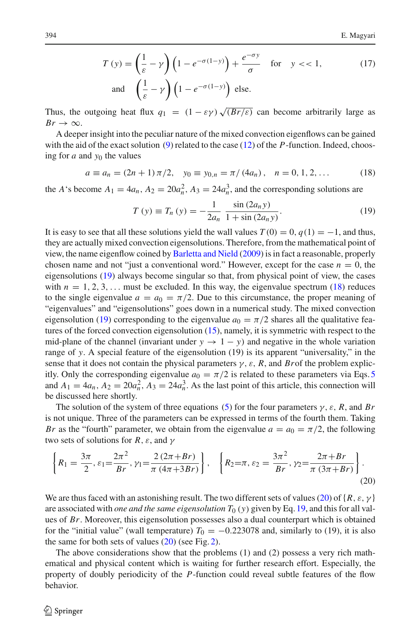$$
T(y) = \left(\frac{1}{\varepsilon} - \gamma\right) \left(1 - e^{-\sigma(1-y)}\right) + \frac{e^{-\sigma y}}{\sigma} \quad \text{for} \quad y < 1,
$$
 (17)  
and 
$$
\left(\frac{1}{\varepsilon} - \gamma\right) \left(1 - e^{-\sigma(1-y)}\right) \text{ else.}
$$

Thus, the outgoing heat flux  $q_1 = (1 - \varepsilon \gamma) \sqrt{(Br/\varepsilon)}$  can become arbitrarily large as  $Br \rightarrow \infty$ .

A deeper insight into the peculiar nature of the mixed convection eigenflows can be gained with the aid of the exact solution [\(9\)](#page-2-3) related to the case [\(12\)](#page-2-4) of the *P*-function. Indeed, choosing for  $a$  and  $y_0$  the values

$$
a \equiv a_n = (2n + 1)\pi/2, \quad y_0 \equiv y_{0,n} = \pi/(4a_n), \quad n = 0, 1, 2, \dots
$$
 (18)

<span id="page-6-1"></span><span id="page-6-0"></span>the *A*'s become  $A_1 = 4a_n$ ,  $A_2 = 20a_n^2$ ,  $A_3 = 24a_n^3$ , and the corresponding solutions are

$$
T(y) \equiv T_n(y) = -\frac{1}{2a_n} \frac{\sin(2a_n y)}{1 + \sin(2a_n y)}.
$$
 (19)

It is easy to see that all these solutions yield the wall values  $T(0) = 0$ ,  $q(1) = -1$ , and thus, they are actually mixed convection eigensolutions. Therefore, from the mathematical point of view, the name eigenflow coined by [Barletta and Nield](#page-7-0) [\(2009\)](#page-7-0) is in fact a reasonable, properly chosen name and not "just a conventional word." However, except for the case  $n = 0$ , the eigensolutions [\(19\)](#page-6-1) always become singular so that, from physical point of view, the cases with  $n = 1, 2, 3, \ldots$  must be excluded. In this way, the eigenvalue spectrum [\(18\)](#page-6-0) reduces to the single eigenvalue  $a = a_0 = \pi/2$ . Due to this circumstance, the proper meaning of "eigenvalues" and "eigensolutions" goes down in a numerical study. The mixed convection eigensolution [\(19\)](#page-6-1) corresponding to the eigenvalue  $a_0 = \pi/2$  shares all the qualitative features of the forced convection eigensolution [\(15\)](#page-4-3), namely, it is symmetric with respect to the mid-plane of the channel (invariant under  $y \rightarrow 1 - y$ ) and negative in the whole variation range of *y*. A special feature of the eigensolution (19) is its apparent "universality," in the sense that it does not contain the physical parameters  $\gamma$ ,  $\varepsilon$ ,  $R$ , and *Br*of the problem explicitly. Only the corresponding eigenvalue  $a_0 = \pi/2$  is related to these parameters via Eqs. [5](#page-2-1) and  $A_1 = 4a_n$ ,  $A_2 = 20a_n^2$ ,  $A_3 = 24a_n^3$ . As the last point of this article, this connection will be discussed here shortly.

The solution of the system of three equations [\(5\)](#page-2-1) for the four parameters  $\gamma$ ,  $\varepsilon$ , *R*, and *Br* is not unique. Three of the parameters can be expressed in terms of the fourth them. Taking *Br* as the "fourth" parameter, we obtain from the eigenvalue  $a = a_0 = \pi/2$ , the following two sets of solutions for *R*,  $\varepsilon$ , and  $\gamma$ 

<span id="page-6-2"></span>
$$
\left\{ R_1 = \frac{3\pi}{2}, \varepsilon_1 = \frac{2\pi^2}{Br}, \gamma_1 = \frac{2(2\pi + Br)}{\pi (4\pi + 3Br)} \right\}, \quad \left\{ R_2 = \pi, \varepsilon_2 = \frac{3\pi^2}{Br}, \gamma_2 = \frac{2\pi + Br}{\pi (3\pi + Br)} \right\}.
$$
\n(20)

We are thus faced with an astonishing result. The two different sets of values [\(20\)](#page-6-2) of  $\{R, \varepsilon, \gamma\}$ are associated with *one and the same eigensolution*  $T_0$  (*y*) given by Eq. [19,](#page-6-1) and this for all values of *Br*. Moreover, this eigensolution possesses also a dual counterpart which is obtained for the "initial value" (wall temperature)  $T_0 = -0.223078$  and, similarly to (19), it is also the same for both sets of values [\(20\)](#page-6-2) (see Fig. [2\)](#page-4-1).

The above considerations show that the problems (1) and (2) possess a very rich mathematical and physical content which is waiting for further research effort. Especially, the property of doubly periodicity of the *P*-function could reveal subtle features of the flow behavior.